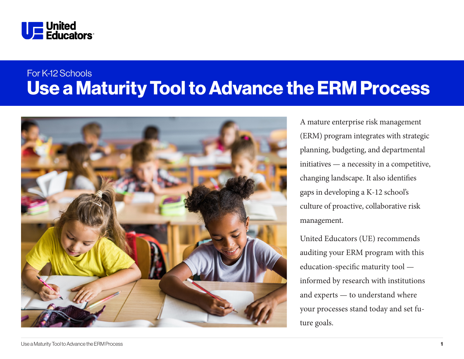

# Use a Maturity Tool to Advance the ERM Process For K-12 Schools



A mature enterprise risk management (ERM) program integrates with strategic planning, budgeting, and departmental initiatives — a necessity in a competitive, changing landscape. It also identifies gaps in developing a K-12 school's culture of proactive, collaborative risk management.

United Educators (UE) recommends auditing your ERM program with this education-specific maturity tool informed by research with institutions and experts — to understand where your processes stand today and set future goals.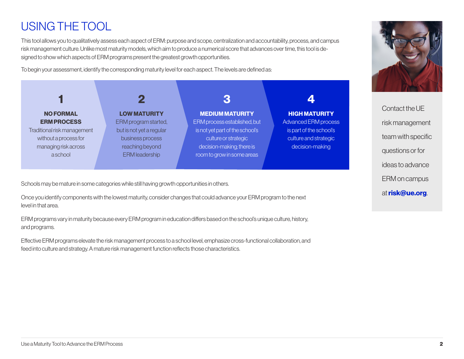# USING THE TOOL

This tool allows you to qualitatively assess each aspect of ERM: purpose and scope, centralization and accountability, process, and campus risk management culture. Unlike most maturity models, which aim to produce a numerical score that advances over time, this tool is designed to show which aspects of ERM programs present the greatest growth opportunities.

To begin your assessment, identify the corresponding maturity level for each aspect. The levels are defined as:

| <b>NO FORMAL</b>            | <b>LOW MATURITY</b>      | <b>MEDIUM MATURITY</b>          | <b>HIGH MATURITY</b>    |
|-----------------------------|--------------------------|---------------------------------|-------------------------|
| <b>ERM PROCESS</b>          | ERM program started,     | ERM process established, but    | Advanced ERM process    |
| Traditional risk management | but is not yet a regular | is not yet part of the school's | is part of the school's |
| without a process for       | business process         | culture or strategic            | culture and strategic   |
| managing risk across        | reaching beyond          | decision-making; there is       | decision-making         |
| aschool                     | <b>ERM</b> leadership    | room to grow in some areas      |                         |
|                             |                          |                                 |                         |
|                             |                          |                                 |                         |

Schools may be mature in some categories while still having growth opportunities in others.

Once you identify components with the lowest maturity, consider changes that could advance your ERM program to the next level in that area.

ERM programs vary in maturity because every ERM program in education differs based on the school's unique culture, history, and programs.

Effective ERM programs elevate the risk management process to a school level, emphasize cross-functional collaboration, and feed into culture and strategy. A mature risk management function reflects those characteristics.



Contact the UE risk management team with specific questions or for ideas to advance ERM on campus at risk@ue.org.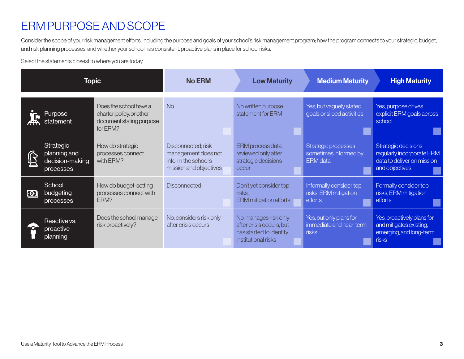## ERM PURPOSE AND SCOPE

Consider the scope of your risk management efforts, including the purpose and goals of your school's risk management program; how the program connects to your strategic, budget, and risk planning processes; and whether your school has consistent, proactive plans in place for school risks.

Select the statements closest to where you are today.

| <b>Topic</b>                |                                                           | <b>No ERM</b>                                                                               | <b>Low Maturity</b>                                                                        | <b>Medium Maturity</b>                                                                              | <b>High Maturity</b>                                            |                                                                                                  |
|-----------------------------|-----------------------------------------------------------|---------------------------------------------------------------------------------------------|--------------------------------------------------------------------------------------------|-----------------------------------------------------------------------------------------------------|-----------------------------------------------------------------|--------------------------------------------------------------------------------------------------|
|                             | Purpose<br>statement                                      | Does the school have a<br>charter, policy, or other<br>document stating purpose<br>for ERM? | <b>No</b>                                                                                  | No written purpose<br>statement for ERM                                                             | Yes, but vaguely stated<br>goals or siloed activities           | Yes, purpose drives<br>explicit ERM goals across<br>school                                       |
| Ŝ                           | Strategic<br>planning and<br>decision-making<br>processes | How do strategic<br>processes connect<br>with ERM?                                          | Disconnected; risk<br>management does not<br>inform the school's<br>mission and objectives | ERM process data<br>reviewed only after<br>strategic decisions<br><b>OCCUr</b>                      | Strategic processes<br>sometimes informed by<br><b>ERM</b> data | Strategic decisions<br>regularly incorporate ERM<br>data to deliver on mission<br>and objectives |
| $\left  \mathbf{G} \right $ | School<br>budgeting<br>processes                          | How do budget-setting<br>processes connect with<br>ERM?                                     | <b>Disconnected</b>                                                                        | Don't yet consider top<br>risks,<br>ERM mitigation efforts                                          | Informally consider top<br>risks, ERM mitigation<br>efforts     | Formally consider top<br>risks, ERM mitigation<br>efforts                                        |
|                             | Reactive vs.<br>proactive<br>planning                     | Does the school manage<br>risk proactively?                                                 | No, considers risk only<br>after crisis occurs                                             | No, manages risk only<br>after crisis occurs, but<br>has started to identify<br>institutional risks | Yes, but only plans for<br>immediate and near-term<br>risks     | Yes, proactively plans for<br>and mitigates existing,<br>emerging, and long-term<br>risks        |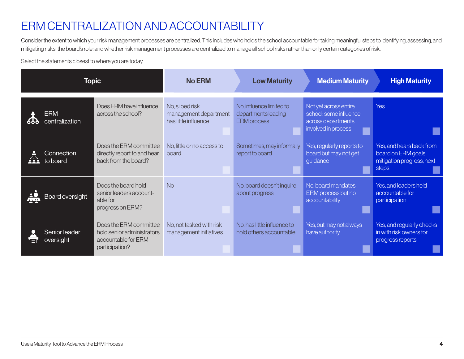### ERM CENTRALIZATION AND ACCOUNTABILITY

Consider the extent to which your risk management processes are centralized. This includes who holds the school accountable for taking meaningful steps to identifying, assessing, and mitigating risks; the board's role; and whether risk management processes are centralized to manage all school risks rather than only certain categories of risk.

Select the statements closest to where you are today.

| <b>Topic</b> |                              | <b>No ERM</b>                                                                                 | <b>Low Maturity</b>                                              | <b>Medium Maturity</b>                                                | <b>High Maturity</b>                                                                         |                                                                                              |
|--------------|------------------------------|-----------------------------------------------------------------------------------------------|------------------------------------------------------------------|-----------------------------------------------------------------------|----------------------------------------------------------------------------------------------|----------------------------------------------------------------------------------------------|
| 666          | <b>ERM</b><br>centralization | Does ERM have influence<br>across the school?                                                 | No, siloed risk<br>management department<br>has little influence | No, influence limited to<br>departments leading<br><b>ERM</b> process | Not yet across entire<br>school; some influence<br>across departments<br>involved in process | <b>Yes</b>                                                                                   |
|              | Connection<br>to board       | Does the ERM committee<br>directly report to and hear<br>back from the board?                 | No, little or no access to<br>board                              | Sometimes, may informally<br>report to board                          | Yes, regularly reports to<br>board but may not get<br>guidance                               | Yes, and hears back from<br>board on ERM goals,<br>mitigation progress, next<br><b>steps</b> |
|              | Board oversight              | Does the board hold<br>senior leaders account-<br>able for<br>progress on ERM?                | <b>No</b>                                                        | No, board doesn't inquire<br>about progress                           | No, board mandates<br>ERM process but no<br>accountability                                   | Yes, and leaders held<br>accountable for<br>participation                                    |
| E            | Senior leader<br>oversight   | Does the ERM committee<br>hold senior administrators<br>accountable for ERM<br>participation? | No, not tasked with risk<br>management initiatives               | No, has little influence to<br>hold others accountable                | Yes, but may not always<br>have authority                                                    | Yes, and regularly checks<br>in with risk owners for<br>progress reports                     |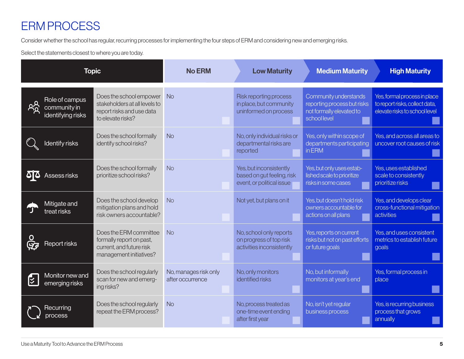# ERM PROCESS

Consider whether the school has regular, recurring processes for implementing the four steps of ERM and considering new and emerging risks.

Select the statements closest to where you are today.

| <b>Topic</b>                                                    |                                                                                                            | <b>No ERM</b>                             | <b>Low Maturity</b>                                                                | <b>Medium Maturity</b>                                                                           | <b>High Maturity</b>                                                                            |
|-----------------------------------------------------------------|------------------------------------------------------------------------------------------------------------|-------------------------------------------|------------------------------------------------------------------------------------|--------------------------------------------------------------------------------------------------|-------------------------------------------------------------------------------------------------|
| Role of campus<br><u>ል</u><br>community in<br>identifying risks | Does the school empower<br>stakeholders at all levels to<br>report risks and use data<br>to elevate risks? | <b>No</b>                                 | Risk reporting process<br>in place, but community<br>uninformed on process         | Community understands<br>reporting process but risks<br>not formally elevated to<br>school level | Yes, formal process in place<br>to report risks, collect data,<br>elevate risks to school level |
| ldentify risks                                                  | Does the school formally<br>identify school risks?                                                         | <b>No</b>                                 | No, only individual risks or<br>departmental risks are<br>reported                 | Yes, only within scope of<br>departments participating<br>in ERM                                 | Yes, and across all areas to<br>uncover root causes of risk                                     |
| Assess risks                                                    | Does the school formally<br>prioritize school risks?                                                       | <b>No</b>                                 | Yes, but inconsistently<br>based on gut feeling, risk<br>event, or political issue | Yes, but only uses estab-<br>lished scale to prioritize<br>risks in some cases                   | Yes, uses established<br>scale to consistently<br>prioritize risks                              |
| Mitigate and<br>treat risks                                     | Does the school develop<br>mitigation plans and hold<br>risk owners accountable?                           | <b>No</b>                                 | Not yet, but plans on it                                                           | Yes, but doesn't hold risk<br>owners accountable for<br>actions on all plans                     | Yes, and develops clear<br>cross-functional mitigation<br>activities                            |
| Report risks                                                    | Does the ERM committee<br>formally report on past,<br>current, and future risk<br>management initiatives?  | <b>No</b>                                 | No, school only reports<br>on progress of top risk<br>activities inconsistently    | Yes, reports on current<br>risks but not on past efforts<br>or future goals                      | Yes, and uses consistent<br>metrics to establish future<br>goals                                |
| Monitor new and<br>[∕्र<br>emerging risks                       | Does the school regularly<br>scan for new and emerg-<br>ing risks?                                         | No, manages risk only<br>after occurrence | No, only monitors<br>identified risks                                              | No, but informally<br>monitors at year's end                                                     | Yes, formal process in<br>place                                                                 |
| Recurring<br>process                                            | Does the school regularly<br>repeat the ERM process?                                                       | <b>No</b>                                 | No, process treated as<br>one-time event ending<br>after first year                | No, isn't yet regular<br>business process                                                        | Yes, is recurring business<br>process that grows<br>annually                                    |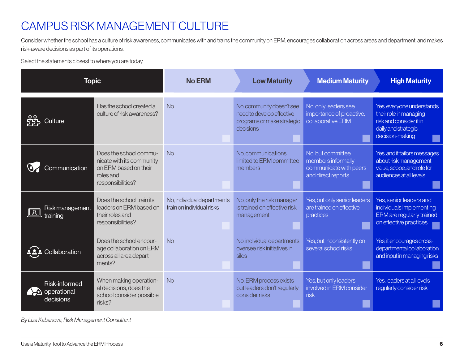# CAMPUS RISK MANAGEMENT CULTURE

Consider whether the school has a culture of risk awareness, communicates with and trains the community on ERM, encourages collaboration across areas and department, and makes risk-aware decisions as part of its operations.

Select the statements closest to where you are today.

| <b>Topic</b>                                     |                                                                                                                | <b>No ERM</b>                                           | <b>Low Maturity</b>                                                                               | <b>Medium Maturity</b>                                                                  | <b>High Maturity</b>                                                                                                     |
|--------------------------------------------------|----------------------------------------------------------------------------------------------------------------|---------------------------------------------------------|---------------------------------------------------------------------------------------------------|-----------------------------------------------------------------------------------------|--------------------------------------------------------------------------------------------------------------------------|
| ılture                                           | Has the school created a<br>culture of risk awareness?                                                         | <b>No</b>                                               | No, community doesn't see<br>need to develop effective<br>programs or make strategic<br>decisions | No, only leaders see<br>importance of proactive,<br>collaborative ERM                   | Yes, everyone understands<br>their role in managing<br>risk and consider it in<br>daily and strategic<br>decision-making |
| Communication                                    | Does the school commu-<br>nicate with its community<br>on ERM based on their<br>roles and<br>responsibilities? | <b>No</b>                                               | No, communications<br>limited to ERM committee<br>members                                         | No, but committee<br>members informally<br>communicate with peers<br>and direct reports | Yes, and it tailors messages<br>about risk management<br>value, scope, and role for<br>audiences at all levels           |
| Risk management<br>training                      | Does the school train its<br>leaders on ERM based on<br>their roles and<br>responsibilities?                   | No, individual departments<br>train on individual risks | No, only the risk manager<br>is trained on effective risk<br>management                           | Yes, but only senior leaders<br>are trained on effective<br>practices                   | Yes, senior leaders and<br>individuals implementing<br><b>ERM</b> are regularly trained<br>on effective practices        |
| ollaboration                                     | Does the school encour-<br>age collaboration on ERM<br>across all area depart-<br>ments?                       | <b>No</b>                                               | No, individual departments<br>oversee risk initiatives in<br>silos                                | Yes, but inconsistently on<br>several school risks                                      | Yes, it encourages cross-<br>departmental collaboration<br>and input in managing risks                                   |
| Risk-informed<br>$\sum$ operational<br>decisions | When making operation-<br>al decisions, does the<br>school consider possible<br>risks?                         | <b>No</b>                                               | No, ERM process exists<br>but leaders don't regularly<br>consider risks                           | Yes, but only leaders<br>involved in ERM consider<br>risk                               | Yes, leaders at all levels<br>regularly consider risk                                                                    |

*By Liza Kabanova, Risk Management Consultant*